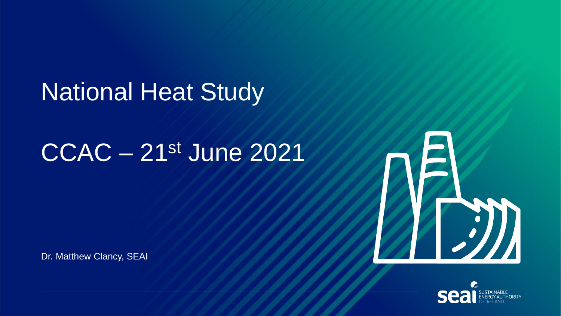## National Heat Study

# CCAC – 21st June 2021

Dr. Matthew Clancy, SEAI



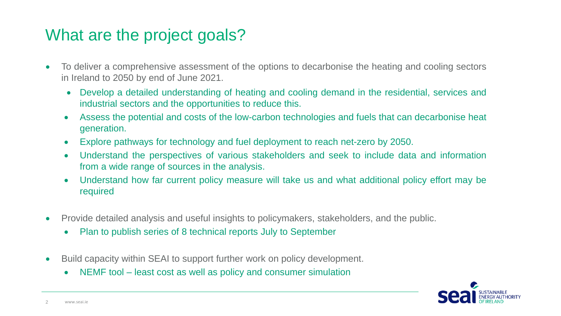### What are the project goals?

- To deliver a comprehensive assessment of the options to decarbonise the heating and cooling sectors in Ireland to 2050 by end of June 2021.
	- Develop a detailed understanding of heating and cooling demand in the residential, services and industrial sectors and the opportunities to reduce this.
	- Assess the potential and costs of the low-carbon technologies and fuels that can decarbonise heat generation.
	- Explore pathways for technology and fuel deployment to reach net-zero by 2050.
	- Understand the perspectives of various stakeholders and seek to include data and information from a wide range of sources in the analysis.
	- Understand how far current policy measure will take us and what additional policy effort may be required
- Provide detailed analysis and useful insights to policymakers, stakeholders, and the public.
	- Plan to publish series of 8 technical reports July to September
- Build capacity within SEAI to support further work on policy development.
	- NEMF tool least cost as well as policy and consumer simulation

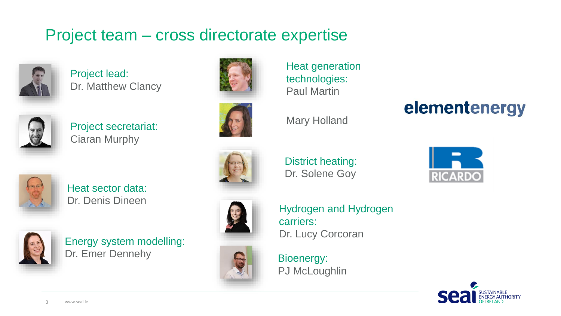### Project team – cross directorate expertise



Project lead: Dr. Matthew Clancy



Project secretariat: Ciaran Murphy



Heat sector data: Dr. Denis Dineen



Energy system modelling: Dr. Emer Dennehy







District heating:





Heat generation

technologies:

Paul Martin



Bioenergy: PJ McLoughlin



elementenergy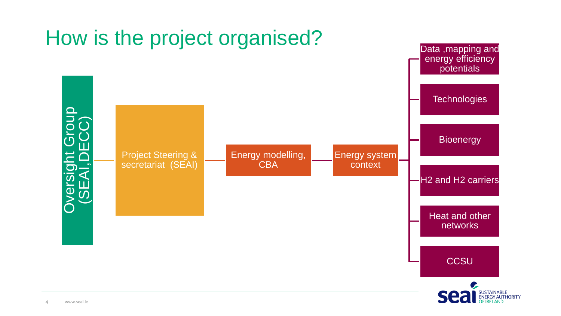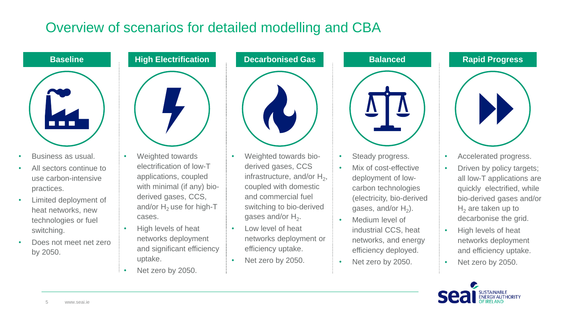### Overview of scenarios for detailed modelling and CBA



- Business as usual.
- All sectors continue to use carbon-intensive practices.
- Limited deployment of heat networks, new technologies or fuel switching.
- Does not meet net zero by 2050.



- Weighted towards electrification of low-T applications, coupled with minimal (if any) bioderived gases, CCS, and/or  $H_2$  use for high-T cases.
- High levels of heat networks deployment and significant efficiency uptake.
- Net zero by 2050.



- Weighted towards bioderived gases, CCS infrastructure, and/or  $H_2$ , coupled with domestic and commercial fuel switching to bio-derived gases and/or  $H_2$ .
- Low level of heat networks deployment or efficiency uptake.
- Net zero by 2050.



- Steady progress.
- Mix of cost-effective deployment of lowcarbon technologies (electricity, bio-derived gases, and/or  $H_2$ ).
- Medium level of industrial CCS, heat networks, and energy efficiency deployed.
- Net zero by 2050.





- Accelerated progress.
- Driven by policy targets; all low-T applications are quickly electrified, while bio-derived gases and/or  $H<sub>2</sub>$  are taken up to decarbonise the grid.
- High levels of heat networks deployment and efficiency uptake.
- Net zero by 2050.

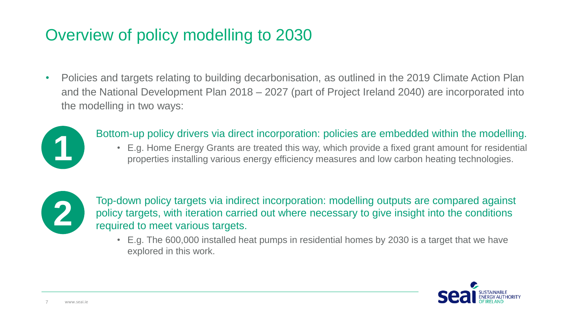### Overview of policy modelling to 2030

• Policies and targets relating to building decarbonisation, as outlined in the 2019 Climate Action Plan and the National Development Plan 2018 – 2027 (part of Project Ireland 2040) are incorporated into the modelling in two ways:



#### Bottom-up policy drivers via direct incorporation: policies are embedded within the modelling.

• E.g. Home Energy Grants are treated this way, which provide a fixed grant amount for residential properties installing various energy efficiency measures and low carbon heating technologies.



Top-down policy targets via indirect incorporation: modelling outputs are compared against policy targets, with iteration carried out where necessary to give insight into the conditions required to meet various targets.

• E.g. The 600,000 installed heat pumps in residential homes by 2030 is a target that we have explored in this work.

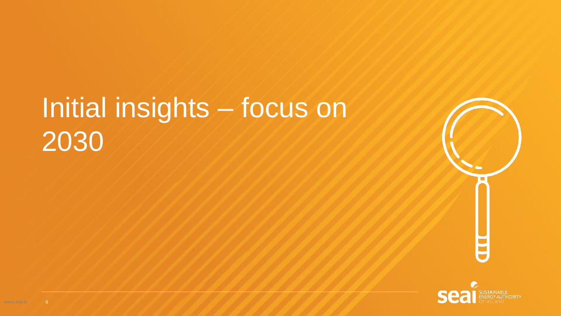# Initial insights – focus on 2030



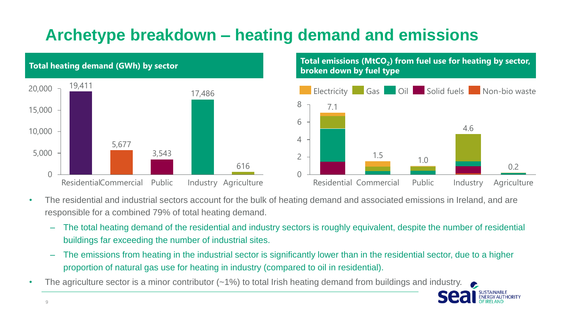### **Archetype breakdown – heating demand and emissions**



#### **Total emissions (MtCO<sup>2</sup> ) from fuel use for heating by sector, broken down by fuel type** 2 4 6 8 1.5 7.1 1.0 4.6 **Electricity** Gas Oil Solid fuels Non-bio waste

Residential Commercial Public Industry Agriculture

• The residential and industrial sectors account for the bulk of heating demand and associated emissions in Ireland, and are responsible for a combined 79% of total heating demand.

– The total heating demand of the residential and industry sectors is roughly equivalent, despite the number of residential buildings far exceeding the number of industrial sites.

 $\cap$ 

- The emissions from heating in the industrial sector is significantly lower than in the residential sector, due to a higher proportion of natural gas use for heating in industry (compared to oil in residential).
- The agriculture sector is a minor contributor (~1%) to total Irish heating demand from buildings and industry.

0.2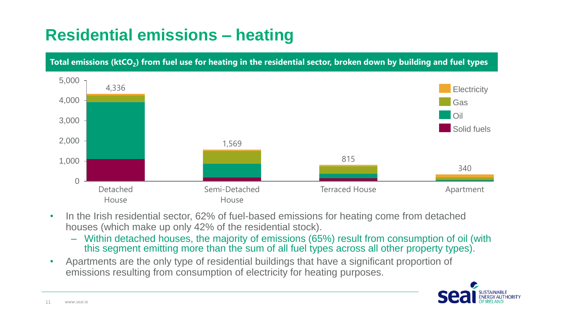### **Residential emissions – heating**

**Total emissions (ktCO<sup>2</sup> ) from fuel use for heating in the residential sector, broken down by building and fuel types**



- In the Irish residential sector, 62% of fuel-based emissions for heating come from detached houses (which make up only 42% of the residential stock).
	- Within detached houses, the majority of emissions (65%) result from consumption of oil (with this segment emitting more than the sum of all fuel types across all other property types).
- Apartments are the only type of residential buildings that have a significant proportion of emissions resulting from consumption of electricity for heating purposes.

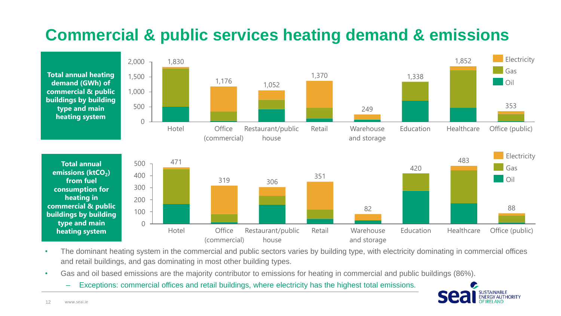### **Commercial & public services heating demand & emissions**



- The dominant heating system in the commercial and public sectors varies by building type, with electricity dominating in commercial offices and retail buildings, and gas dominating in most other building types.
- Gas and oil based emissions are the majority contributor to emissions for heating in commercial and public buildings (86%).
	- Exceptions: commercial offices and retail buildings, where electricity has the highest total emissions.

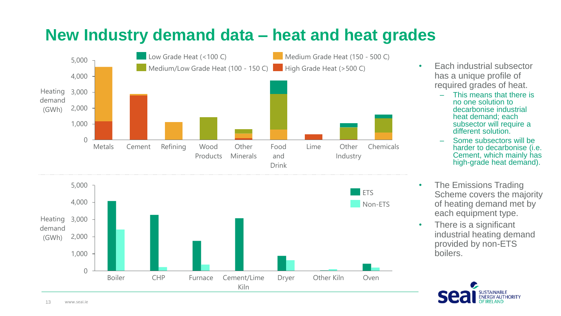

### **New Industry demand data – heat and heat grades**

- Each industrial subsector has a unique profile of required grades of heat.
	- This means that there is no one solution to decarbonise industrial heat demand; each subsector will require a different solution.
	- Some subsectors will be harder to decarbonise (i.e. Cement, which mainly has high-grade heat demand).
- The Emissions Trading Scheme covers the majority of heating demand met by each equipment type.
- There is a significant industrial heating demand provided by non-ETS boilers.

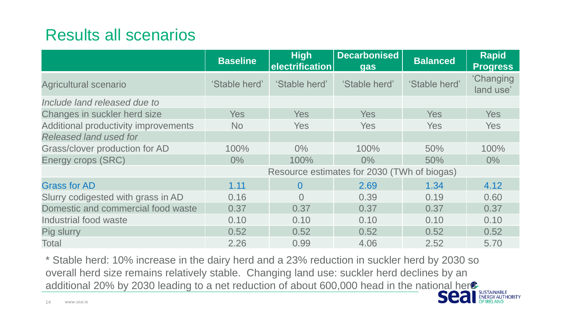### Results all scenarios

|                                      | <b>Baseline</b>                             | <b>High</b><br>electrification | <b>Decarbonised</b><br><b>gas</b> | <b>Balanced</b> | <b>Rapid</b><br><b>Progress</b> |
|--------------------------------------|---------------------------------------------|--------------------------------|-----------------------------------|-----------------|---------------------------------|
| Agricultural scenario                | 'Stable herd'                               | 'Stable herd'                  | 'Stable herd'                     | 'Stable herd'   | <b>'Changing</b><br>land use'   |
| Include land released due to         |                                             |                                |                                   |                 |                                 |
| Changes in suckler herd size         | <b>Yes</b>                                  | <b>Yes</b>                     | <b>Yes</b>                        | <b>Yes</b>      | <b>Yes</b>                      |
| Additional productivity improvements | <b>No</b>                                   | <b>Yes</b>                     | <b>Yes</b>                        | <b>Yes</b>      | <b>Yes</b>                      |
| Released land used for               |                                             |                                |                                   |                 |                                 |
| Grass/clover production for AD       | 100%                                        | $0\%$                          | 100%                              | 50%             | 100%                            |
| Energy crops (SRC)                   | $0\%$                                       | 100%                           | $0\%$                             | 50%             | $0\%$                           |
|                                      | Resource estimates for 2030 (TWh of biogas) |                                |                                   |                 |                                 |
| <b>Grass for AD</b>                  | 1.11                                        | $\overline{0}$                 | 2.69                              | 1.34            | 4.12                            |
| Slurry codigested with grass in AD   | 0.16                                        | $\Omega$                       | 0.39                              | 0.19            | 0.60                            |
| Domestic and commercial food waste   | 0.37                                        | 0.37                           | 0.37                              | 0.37            | 0.37                            |
| Industrial food waste                | 0.10                                        | 0.10                           | 0.10                              | 0.10            | 0.10                            |
| Pig slurry                           | 0.52                                        | 0.52                           | 0.52                              | 0.52            | 0.52                            |
| Total                                | 2.26                                        | 0.99                           | 4.06                              | 2.52            | 5.70                            |

\* Stable herd: 10% increase in the dairy herd and a 23% reduction in suckler herd by 2030 so overall herd size remains relatively stable. Changing land use: suckler herd declines by an additional 20% by 2030 leading to a net reduction of about 600,000 head in the national herd-

**AUTHORITY**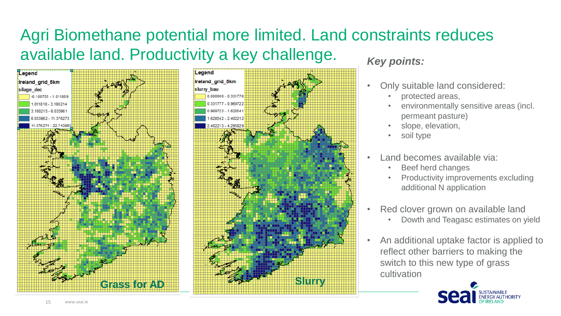### Agri Biomethane potential more limited. Land constraints reduces available land. Productivity a key challenge.





#### *Key points:*

- Only suitable land considered:
	- protected areas,
	- environmentally sensitive areas (incl. permeant pasture)
	- slope, elevation,
	- soil type
- Land becomes available via:
	- Beef herd changes
	- Productivity improvements excluding additional N application
- Red clover grown on available land
	- Dowth and Teagasc estimates on yield
- An additional uptake factor is applied to reflect other barriers to making the switch to this new type of grass cultivation

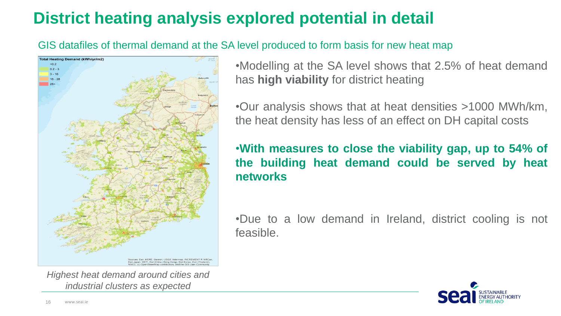### **District heating analysis explored potential in detail**

GIS datafiles of thermal demand at the SA level produced to form basis for new heat map



*Highest heat demand around cities and industrial clusters as expected* 

•Modelling at the SA level shows that 2.5% of heat demand has **high viability** for district heating

•Our analysis shows that at heat densities >1000 MWh/km, the heat density has less of an effect on DH capital costs

•**With measures to close the viability gap, up to 54% of the building heat demand could be served by heat networks**

•Due to a low demand in Ireland, district cooling is not feasible.